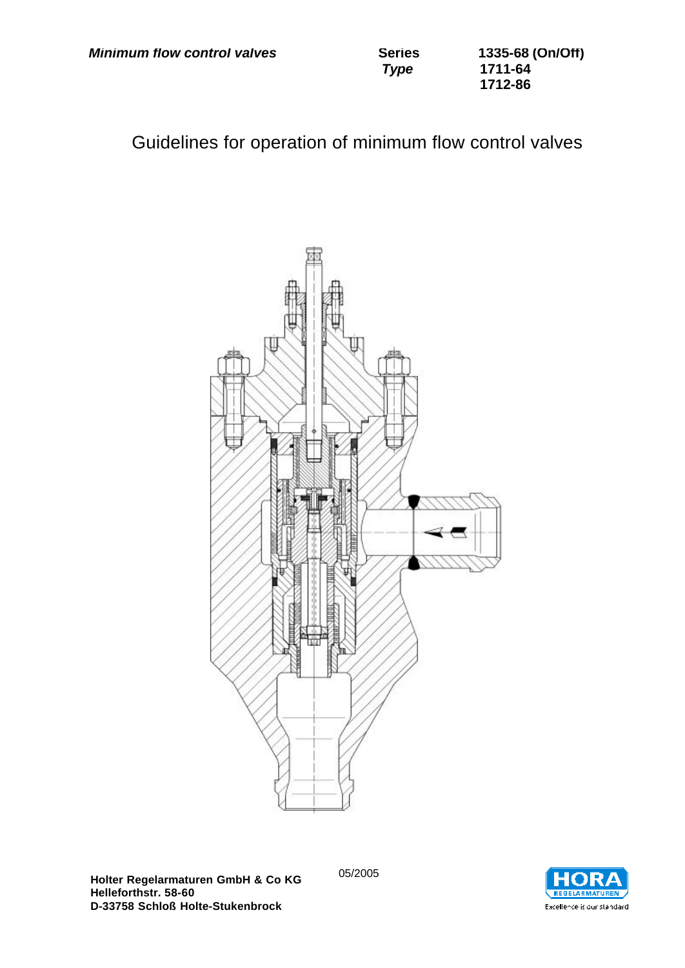| <b>Minimum flow control valves</b> | <b>Series</b> | 1335-68 (On/Off) |
|------------------------------------|---------------|------------------|
|                                    | <b>Type</b>   | 1711-64          |
|                                    |               | 1712-86          |

Guidelines for operation of minimum flow control valves



**Holter Regelarmaturen GmbH & Co KG Helleforthstr. 58-60 D-33758 Schloß Holte-Stukenbrock**

05/2005

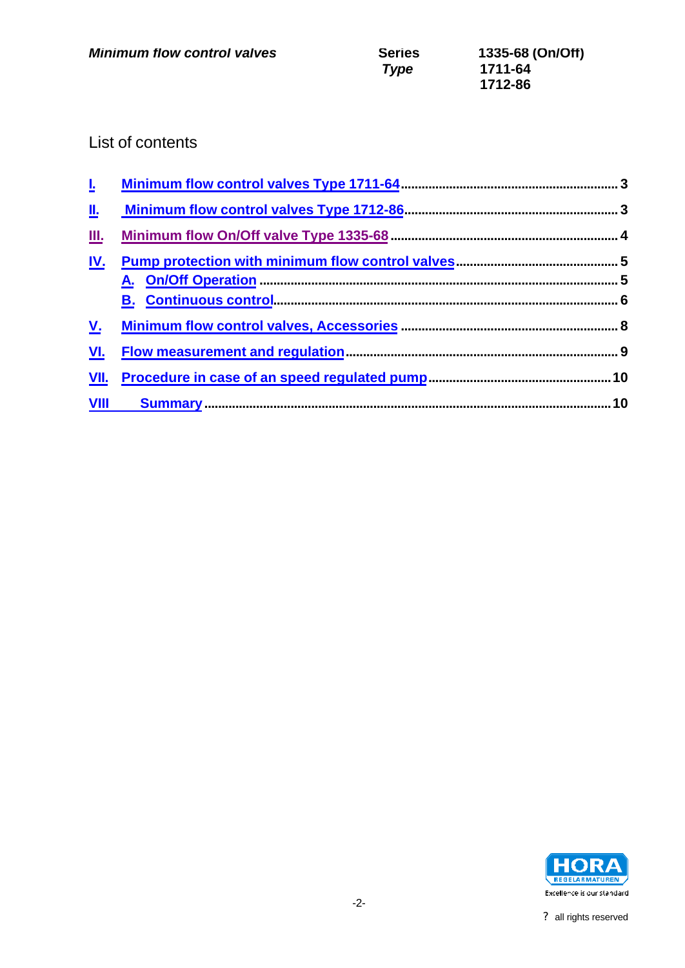# List of contents

| Ŀ.          |  |
|-------------|--|
| 业           |  |
| 皿.          |  |
| <u>IV.</u>  |  |
|             |  |
|             |  |
| <u>V.</u>   |  |
| <u>VI.</u>  |  |
| <u>VII.</u> |  |
| <b>VIII</b> |  |

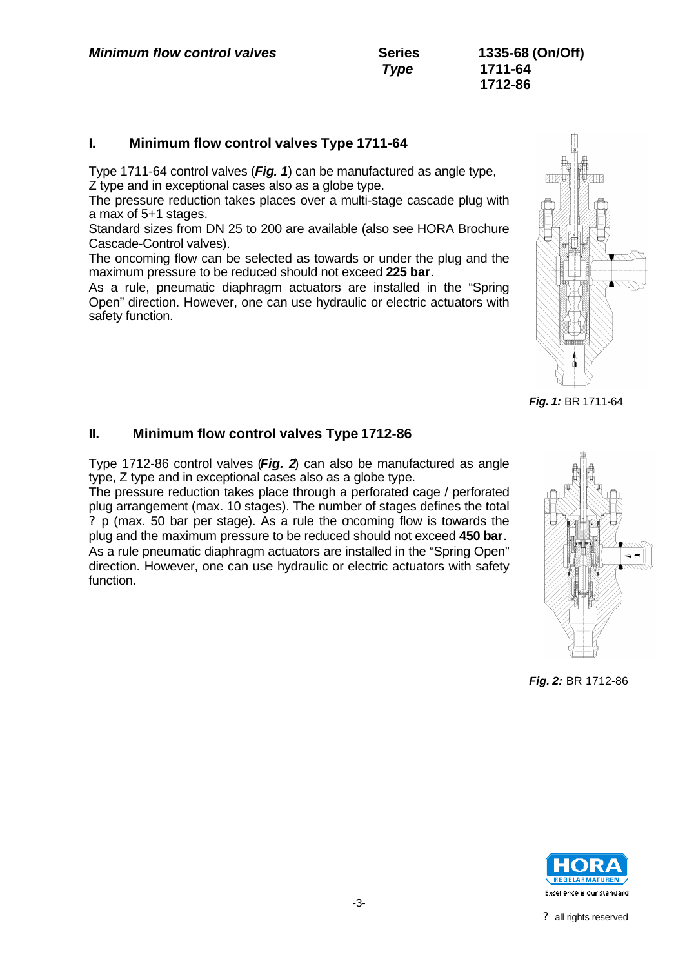*Type* **1711-64 1712-86**

### **I. Minimum flow control valves Type 1711-64**

Type 1711-64 control valves (*Fig. 1*) can be manufactured as angle type, Z type and in exceptional cases also as a globe type.

The pressure reduction takes places over a multi-stage cascade plug with a max of 5+1 stages.

Standard sizes from DN 25 to 200 are available (also see HORA Brochure Cascade-Control valves).

The oncoming flow can be selected as towards or under the plug and the maximum pressure to be reduced should not exceed **225 bar**.

As a rule, pneumatic diaphragm actuators are installed in the "Spring Open" direction. However, one can use hydraulic or electric actuators with safety function.



*Fig. 1:* BR 1711-64

#### **II. Minimum flow control valves Type 1712-86**

Type 1712-86 control valves (*Fig. 2*) can also be manufactured as angle type, Z type and in exceptional cases also as a globe type.

The pressure reduction takes place through a perforated cage / perforated plug arrangement (max. 10 stages). The number of stages defines the total ? p (max. 50 bar per stage). As a rule the oncoming flow is towards the plug and the maximum pressure to be reduced should not exceed **450 bar**. As a rule pneumatic diaphragm actuators are installed in the "Spring Open" direction. However, one can use hydraulic or electric actuators with safety function.



*Fig. 2:* BR 1712-86

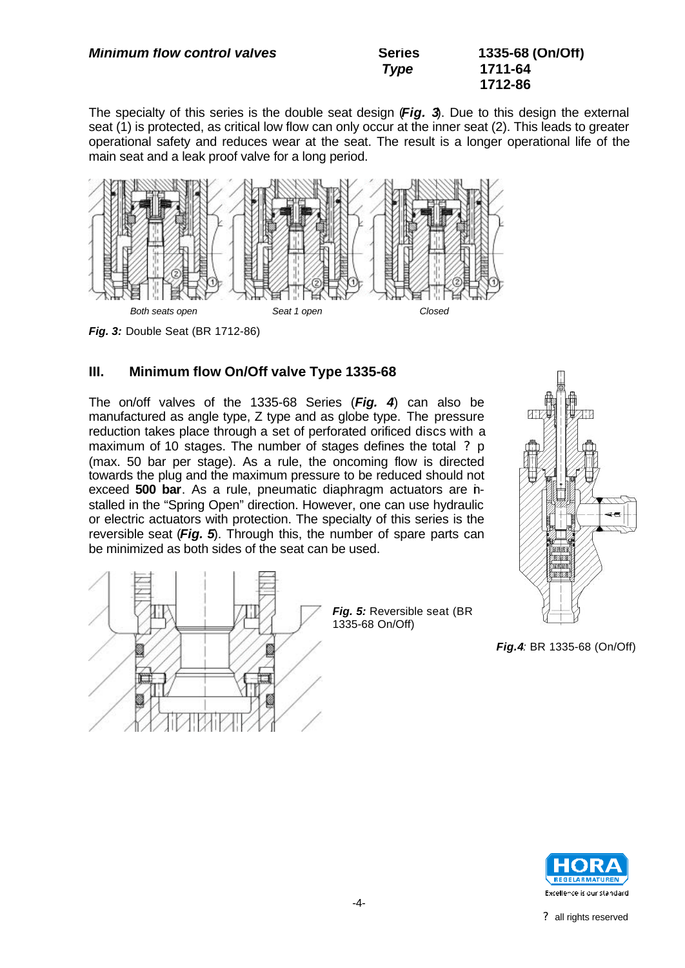| <b>Minimum flow control valves</b> | <b>Series</b> | 1335-68 (On/Off) |
|------------------------------------|---------------|------------------|
|                                    | <b>Type</b>   | 1711-64          |
|                                    |               | 1712-86          |

The specialty of this series is the double seat design (*Fig. 3*). Due to this design the external seat (1) is protected, as critical low flow can only occur at the inner seat (2). This leads to greater operational safety and reduces wear at the seat. The result is a longer operational life of the main seat and a leak proof valve for a long period.



*Fig. 3:* Double Seat (BR 1712-86)

# **III. Minimum flow On/Off valve Type 1335-68**

The on/off valves of the 1335-68 Series (*Fig. 4*) can also be manufactured as angle type, Z type and as globe type. The pressure reduction takes place through a set of perforated orificed discs with a maximum of 10 stages. The number of stages defines the total ? p (max. 50 bar per stage). As a rule, the oncoming flow is directed towards the plug and the maximum pressure to be reduced should not exceed **500 bar**. As a rule, pneumatic diaphragm actuators are installed in the "Spring Open" direction. However, one can use hydraulic or electric actuators with protection. The specialty of this series is the reversible seat (*Fig. 5*). Through this, the number of spare parts can be minimized as both sides of the seat can be used.



*Fig.4:* BR 1335-68 (On/Off)



-4-



*Fig. 5:* Reversible seat (BR 1335-68 On/Off)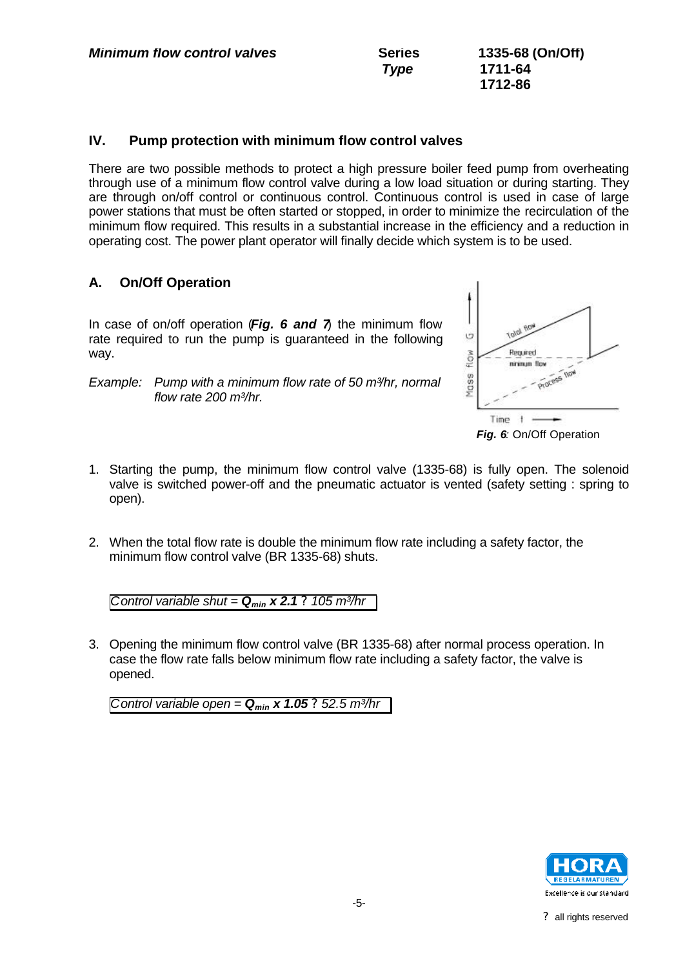| <b>Minimum flow control valves</b> | <b>Series</b> | 1335-68 (On/Off) |
|------------------------------------|---------------|------------------|
|                                    | <b>Type</b>   | 1711-64          |
|                                    |               | 1712-86          |

#### **IV. Pump protection with minimum flow control valves**

There are two possible methods to protect a high pressure boiler feed pump from overheating through use of a minimum flow control valve during a low load situation or during starting. They are through on/off control or continuous control. Continuous control is used in case of large power stations that must be often started or stopped, in order to minimize the recirculation of the minimum flow required. This results in a substantial increase in the efficiency and a reduction in operating cost. The power plant operator will finally decide which system is to be used.

#### **A. On/Off Operation**

In case of on/off operation (*Fig. 6 and 7*) the minimum flow rate required to run the pump is guaranteed in the following way.

*Example: Pump with a minimum flow rate of 50 m³/hr, normal flow rate 200 m³/hr.*



*Fig. 6:* On/Off Operation

- 1. Starting the pump, the minimum flow control valve (1335-68) is fully open. The solenoid valve is switched power-off and the pneumatic actuator is vented (safety setting : spring to open).
- 2. When the total flow rate is double the minimum flow rate including a safety factor, the minimum flow control valve (BR 1335-68) shuts.

*Control variable shut* =  $Q_{min}$  x 2.1 ? 105 m<sup>3</sup>/hr

3. Opening the minimum flow control valve (BR 1335-68) after normal process operation. In case the flow rate falls below minimum flow rate including a safety factor, the valve is opened.

*Control variable open* =  $Q_{min}$  x 1.05 ? 52.5 m<sup>3</sup>/hr

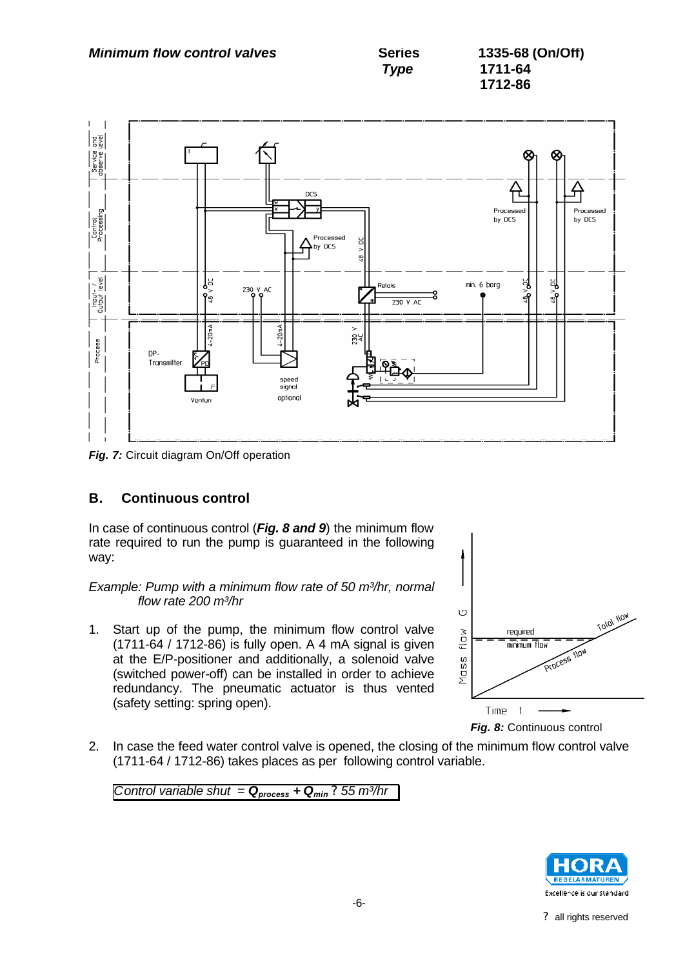*Minimum flow control valves* Series 1335-68 (On/Off)



**Fig. 7:** Circuit diagram On/Off operation

# **B. Continuous control**

In case of continuous control (*Fig. 8 and 9*) the minimum flow rate required to run the pump is guaranteed in the following way:

*Example: Pump with a minimum flow rate of 50 m³/hr, normal flow rate 200 m³/hr*

1. Start up of the pump, the minimum flow control valve (1711-64 / 1712-86) is fully open. A 4 mA signal is given at the E/P-positioner and additionally, a solenoid valve (switched power-off) can be installed in order to achieve redundancy. The pneumatic actuator is thus vented (safety setting: spring open).



*Fig. 8:* Continuous control

2. In case the feed water control valve is opened, the closing of the minimum flow control valve (1711-64 / 1712-86) takes places as per following control variable.

*Control variable shut* =  $Q_{process}$  +  $Q_{min}$ ? 55 m<sup>3</sup>/hr

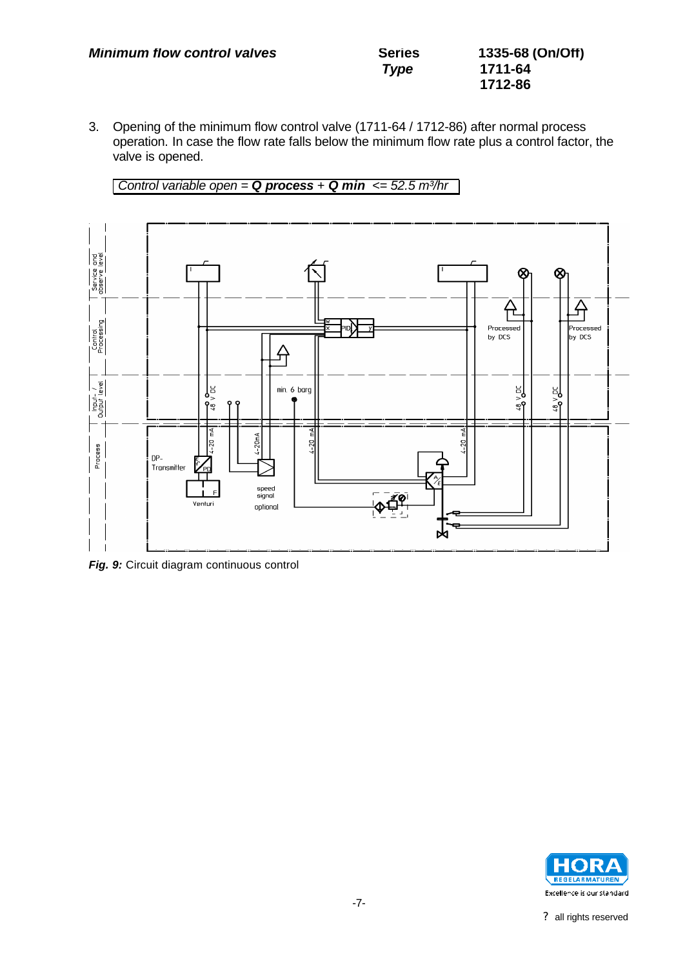| <b>Minimum flow control valves</b> | <b>Series</b> | 1335-68 (On/Off) |
|------------------------------------|---------------|------------------|
|                                    | Type          | 1711-64          |
|                                    |               | 1712-86          |

3. Opening of the minimum flow control valve (1711-64 / 1712-86) after normal process operation. In case the flow rate falls below the minimum flow rate plus a control factor, the valve is opened.

*Control variable open* =  $Q$  *process* +  $Q$  *min* <= 52.5 m<sup>3</sup>/hr



**Fig. 9:** Circuit diagram continuous control

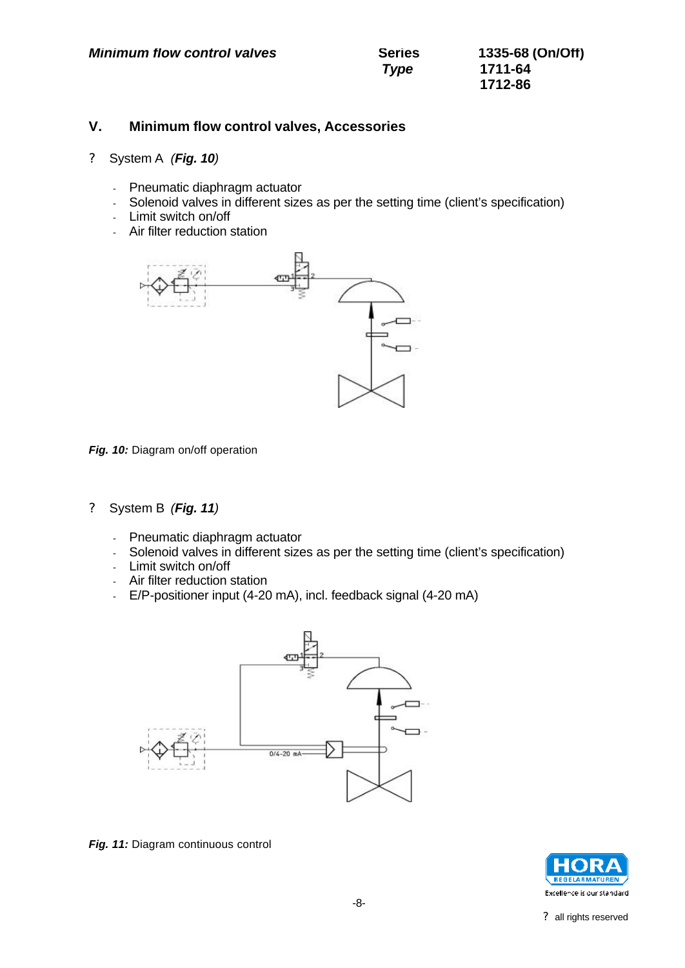#### **V. Minimum flow control valves, Accessories**

- ? System A *(Fig. 10)*
	- Pneumatic diaphragm actuator
	- Solenoid valves in different sizes as per the setting time (client's specification)
	- Limit switch on/off
	- Air filter reduction station



*Fig. 10:* Diagram on/off operation

- ? System B *(Fig. 11)*
	- Pneumatic diaphragm actuator
	- Solenoid valves in different sizes as per the setting time (client's specification)
	- Limit switch on/off
	- Air filter reduction station
	- E/P-positioner input (4-20 mA), incl. feedback signal (4-20 mA)



**Fig. 11:** Diagram continuous control

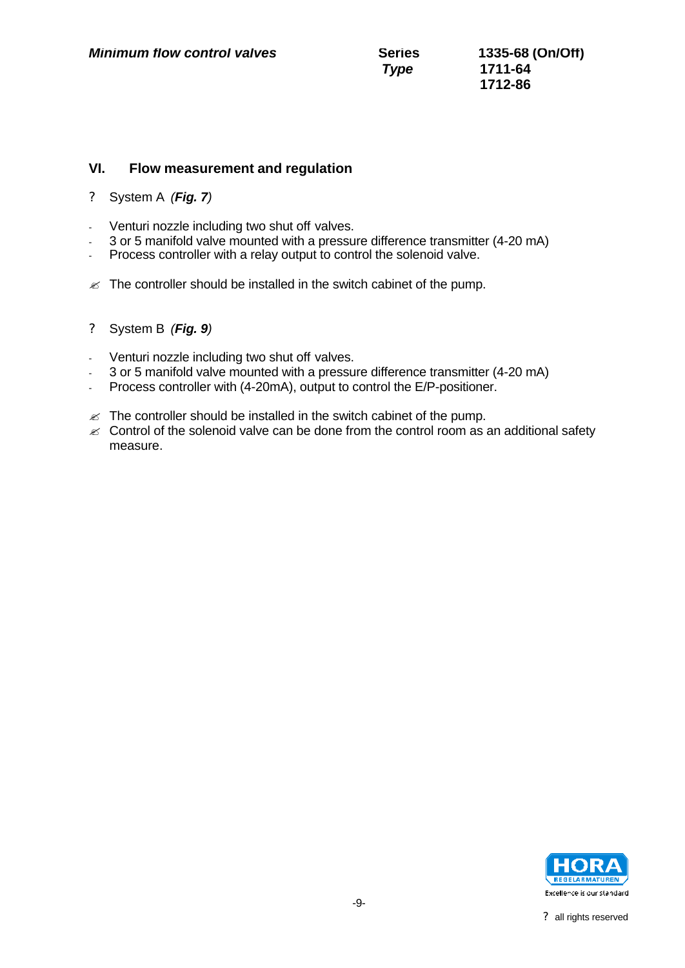#### **VI. Flow measurement and regulation**

- ? System A *(Fig. 7)*
- Venturi nozzle including two shut off valves.
- 3 or 5 manifold valve mounted with a pressure difference transmitter (4-20 mA)
- Process controller with a relay output to control the solenoid valve.
- $\mathbb{Z}$  The controller should be installed in the switch cabinet of the pump.
- ? System B *(Fig. 9)*
- Venturi nozzle including two shut off valves.
- 3 or 5 manifold valve mounted with a pressure difference transmitter (4-20 mA)
- Process controller with (4-20mA), output to control the E/P-positioner.
- $\mathbb{Z}$  The controller should be installed in the switch cabinet of the pump.
- $\mathscr{L}$  Control of the solenoid valve can be done from the control room as an additional safety measure.